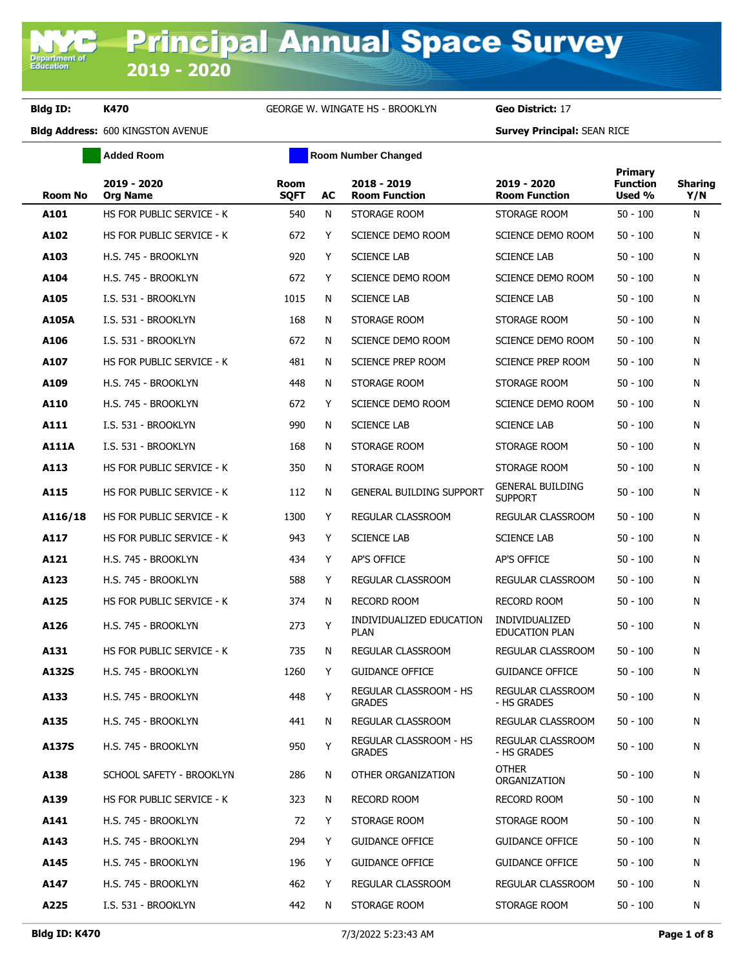**Department of**<br>Education

### **Bldg ID: K470** GEORGE W. WINGATE HS - BROOKLYN **Geo District:** 17

|                | <b>Added Room</b>              |                            |    | <b>Room Number Changed</b>                     |                                           |                                      |                       |
|----------------|--------------------------------|----------------------------|----|------------------------------------------------|-------------------------------------------|--------------------------------------|-----------------------|
| <b>Room No</b> | 2019 - 2020<br><b>Org Name</b> | <b>Room</b><br><b>SQFT</b> | AC | 2018 - 2019<br><b>Room Function</b>            | 2019 - 2020<br><b>Room Function</b>       | Primary<br><b>Function</b><br>Used % | <b>Sharing</b><br>Y/N |
| A101           | HS FOR PUBLIC SERVICE - K      | 540                        | N  | STORAGE ROOM                                   | STORAGE ROOM                              | $50 - 100$                           | N                     |
| A102           | HS FOR PUBLIC SERVICE - K      | 672                        | Y  | SCIENCE DEMO ROOM                              | SCIENCE DEMO ROOM                         | $50 - 100$                           | N                     |
| A103           | H.S. 745 - BROOKLYN            | 920                        | Y  | <b>SCIENCE LAB</b>                             | <b>SCIENCE LAB</b>                        | $50 - 100$                           | N                     |
| A104           | H.S. 745 - BROOKLYN            | 672                        | Y  | SCIENCE DEMO ROOM                              | SCIENCE DEMO ROOM                         | $50 - 100$                           | N                     |
| A105           | I.S. 531 - BROOKLYN            | 1015                       | N  | <b>SCIENCE LAB</b>                             | <b>SCIENCE LAB</b>                        | $50 - 100$                           | N                     |
| A105A          | I.S. 531 - BROOKLYN            | 168                        | N  | STORAGE ROOM                                   | STORAGE ROOM                              | $50 - 100$                           | N                     |
| A106           | I.S. 531 - BROOKLYN            | 672                        | N  | SCIENCE DEMO ROOM                              | SCIENCE DEMO ROOM                         | $50 - 100$                           | N                     |
| A107           | HS FOR PUBLIC SERVICE - K      | 481                        | N  | SCIENCE PREP ROOM                              | <b>SCIENCE PREP ROOM</b>                  | $50 - 100$                           | N                     |
| A109           | H.S. 745 - BROOKLYN            | 448                        | N  | STORAGE ROOM                                   | STORAGE ROOM                              | $50 - 100$                           | N                     |
| A110           | H.S. 745 - BROOKLYN            | 672                        | Y  | SCIENCE DEMO ROOM                              | SCIENCE DEMO ROOM                         | $50 - 100$                           | N                     |
| A111           | I.S. 531 - BROOKLYN            | 990                        | N  | <b>SCIENCE LAB</b>                             | <b>SCIENCE LAB</b>                        | $50 - 100$                           | N                     |
| <b>A111A</b>   | I.S. 531 - BROOKLYN            | 168                        | N  | STORAGE ROOM                                   | STORAGE ROOM                              | $50 - 100$                           | N                     |
| A113           | HS FOR PUBLIC SERVICE - K      | 350                        | N  | STORAGE ROOM                                   | STORAGE ROOM                              | $50 - 100$                           | N                     |
| A115           | HS FOR PUBLIC SERVICE - K      | 112                        | N  | <b>GENERAL BUILDING SUPPORT</b>                | <b>GENERAL BUILDING</b><br><b>SUPPORT</b> | $50 - 100$                           | N                     |
| A116/18        | HS FOR PUBLIC SERVICE - K      | 1300                       | Y  | REGULAR CLASSROOM                              | REGULAR CLASSROOM                         | $50 - 100$                           | N                     |
| A117           | HS FOR PUBLIC SERVICE - K      | 943                        | Y  | <b>SCIENCE LAB</b>                             | <b>SCIENCE LAB</b>                        | $50 - 100$                           | N                     |
| A121           | H.S. 745 - BROOKLYN            | 434                        | Y  | AP'S OFFICE                                    | AP'S OFFICE                               | $50 - 100$                           | N                     |
| A123           | H.S. 745 - BROOKLYN            | 588                        | Y  | REGULAR CLASSROOM                              | REGULAR CLASSROOM                         | $50 - 100$                           | N                     |
| A125           | HS FOR PUBLIC SERVICE - K      | 374                        | N  | <b>RECORD ROOM</b>                             | <b>RECORD ROOM</b>                        | $50 - 100$                           | N                     |
| A126           | H.S. 745 - BROOKLYN            | 273                        | Υ  | INDIVIDUALIZED EDUCATION<br><b>PLAN</b>        | INDIVIDUALIZED<br><b>EDUCATION PLAN</b>   | $50 - 100$                           | N                     |
| A131           | HS FOR PUBLIC SERVICE - K      | 735                        | N  | <b>REGULAR CLASSROOM</b>                       | REGULAR CLASSROOM                         | $50 - 100$                           | N                     |
| A132S          | H.S. 745 - BROOKLYN            | 1260                       | Y  | <b>GUIDANCE OFFICE</b>                         | <b>GUIDANCE OFFICE</b>                    | $50 - 100$                           | N                     |
| A133           | H.S. 745 - BROOKLYN            | 448                        | Y  | REGULAR CLASSROOM - HS<br><b>GRADES</b>        | REGULAR CLASSROOM<br>- HS GRADES          | $50 - 100$                           | N                     |
| A135           | H.S. 745 - BROOKLYN            | 441                        | N  | REGULAR CLASSROOM                              | REGULAR CLASSROOM                         | $50 - 100$                           | N                     |
| A137S          | H.S. 745 - BROOKLYN            | 950                        | Y  | <b>REGULAR CLASSROOM - HS</b><br><b>GRADES</b> | <b>REGULAR CLASSROOM</b><br>- HS GRADES   | $50 - 100$                           | N                     |
| A138           | SCHOOL SAFETY - BROOKLYN       | 286                        | N  | OTHER ORGANIZATION                             | <b>OTHER</b><br>ORGANIZATION              | $50 - 100$                           | N                     |
| A139           | HS FOR PUBLIC SERVICE - K      | 323                        | N  | <b>RECORD ROOM</b>                             | <b>RECORD ROOM</b>                        | $50 - 100$                           | N                     |
| A141           | H.S. 745 - BROOKLYN            | 72                         | Y  | STORAGE ROOM                                   | STORAGE ROOM                              | $50 - 100$                           | N                     |
| A143           | H.S. 745 - BROOKLYN            | 294                        | Y  | <b>GUIDANCE OFFICE</b>                         | <b>GUIDANCE OFFICE</b>                    | $50 - 100$                           | N                     |
| A145           | H.S. 745 - BROOKLYN            | 196                        | Y  | <b>GUIDANCE OFFICE</b>                         | <b>GUIDANCE OFFICE</b>                    | $50 - 100$                           | N                     |
| A147           | H.S. 745 - BROOKLYN            | 462                        | Y  | REGULAR CLASSROOM                              | REGULAR CLASSROOM                         | $50 - 100$                           | N                     |
| A225           | I.S. 531 - BROOKLYN            | 442                        | N  | STORAGE ROOM                                   | STORAGE ROOM                              | $50 - 100$                           | N                     |
|                |                                |                            |    |                                                |                                           |                                      |                       |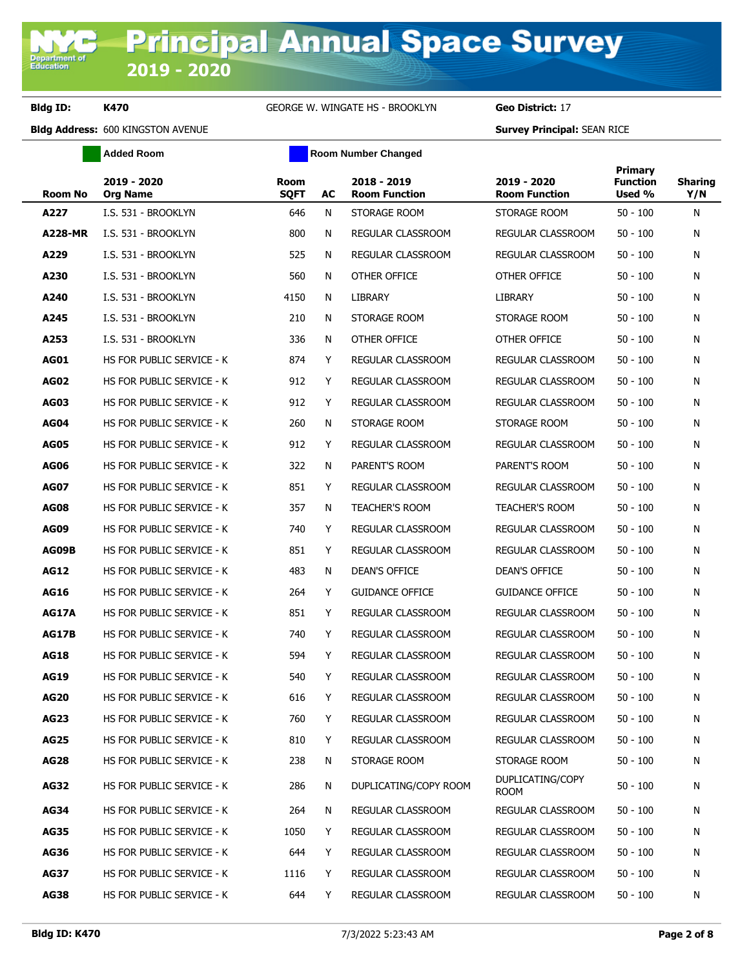**Added Room Room Room Number Changed** 

| <b>Room No</b> | 2019 - 2020<br><b>Org Name</b> | <b>Room</b><br><b>SQFT</b> | AC | 2018 - 2019<br><b>Room Function</b> | 2019 - 2020<br><b>Room Function</b> | Primary<br><b>Function</b><br>Used % | Sharing<br>Y/N |
|----------------|--------------------------------|----------------------------|----|-------------------------------------|-------------------------------------|--------------------------------------|----------------|
| A227           | I.S. 531 - BROOKLYN            | 646                        | N  | STORAGE ROOM                        | STORAGE ROOM                        | $50 - 100$                           | N              |
| <b>A228-MR</b> | I.S. 531 - BROOKLYN            | 800                        | N  | REGULAR CLASSROOM                   | REGULAR CLASSROOM                   | $50 - 100$                           | N              |
| A229           | I.S. 531 - BROOKLYN            | 525                        | N  | REGULAR CLASSROOM                   | REGULAR CLASSROOM                   | $50 - 100$                           | N              |
| A230           | I.S. 531 - BROOKLYN            | 560                        | N  | OTHER OFFICE                        | OTHER OFFICE                        | $50 - 100$                           | N              |
| A240           | I.S. 531 - BROOKLYN            | 4150                       | N  | <b>LIBRARY</b>                      | LIBRARY                             | $50 - 100$                           | N              |
| A245           | I.S. 531 - BROOKLYN            | 210                        | N  | STORAGE ROOM                        | STORAGE ROOM                        | $50 - 100$                           | N              |
| A253           | I.S. 531 - BROOKLYN            | 336                        | N  | OTHER OFFICE                        | OTHER OFFICE                        | $50 - 100$                           | N              |
| <b>AG01</b>    | HS FOR PUBLIC SERVICE - K      | 874                        | Y  | REGULAR CLASSROOM                   | REGULAR CLASSROOM                   | $50 - 100$                           | N              |
| <b>AG02</b>    | HS FOR PUBLIC SERVICE - K      | 912                        | Y  | REGULAR CLASSROOM                   | REGULAR CLASSROOM                   | $50 - 100$                           | N              |
| <b>AG03</b>    | HS FOR PUBLIC SERVICE - K      | 912                        | Y  | <b>REGULAR CLASSROOM</b>            | REGULAR CLASSROOM                   | $50 - 100$                           | N              |
| AG04           | HS FOR PUBLIC SERVICE - K      | 260                        | N  | STORAGE ROOM                        | STORAGE ROOM                        | $50 - 100$                           | N              |
| <b>AG05</b>    | HS FOR PUBLIC SERVICE - K      | 912                        | Y  | REGULAR CLASSROOM                   | REGULAR CLASSROOM                   | $50 - 100$                           | N              |
| <b>AG06</b>    | HS FOR PUBLIC SERVICE - K      | 322                        | N  | PARENT'S ROOM                       | PARENT'S ROOM                       | $50 - 100$                           | N              |
| <b>AG07</b>    | HS FOR PUBLIC SERVICE - K      | 851                        | Y  | REGULAR CLASSROOM                   | REGULAR CLASSROOM                   | $50 - 100$                           | N              |
| <b>AG08</b>    | HS FOR PUBLIC SERVICE - K      | 357                        | N  | <b>TEACHER'S ROOM</b>               | <b>TEACHER'S ROOM</b>               | $50 - 100$                           | N              |
| <b>AG09</b>    | HS FOR PUBLIC SERVICE - K      | 740                        | Y  | REGULAR CLASSROOM                   | REGULAR CLASSROOM                   | $50 - 100$                           | N              |
| AG09B          | HS FOR PUBLIC SERVICE - K      | 851                        | Y  | <b>REGULAR CLASSROOM</b>            | REGULAR CLASSROOM                   | $50 - 100$                           | N              |
| <b>AG12</b>    | HS FOR PUBLIC SERVICE - K      | 483                        | N  | DEAN'S OFFICE                       | <b>DEAN'S OFFICE</b>                | $50 - 100$                           | N              |
| <b>AG16</b>    | HS FOR PUBLIC SERVICE - K      | 264                        | Y  | <b>GUIDANCE OFFICE</b>              | <b>GUIDANCE OFFICE</b>              | $50 - 100$                           | N              |
| <b>AG17A</b>   | HS FOR PUBLIC SERVICE - K      | 851                        | Y  | REGULAR CLASSROOM                   | REGULAR CLASSROOM                   | $50 - 100$                           | N              |
| <b>AG17B</b>   | HS FOR PUBLIC SERVICE - K      | 740                        | Y  | REGULAR CLASSROOM                   | REGULAR CLASSROOM                   | $50 - 100$                           | N              |
| <b>AG18</b>    | HS FOR PUBLIC SERVICE - K      | 594                        | Y  | REGULAR CLASSROOM                   | REGULAR CLASSROOM                   | $50 - 100$                           | N              |
| <b>AG19</b>    | HS FOR PUBLIC SERVICE - K      | 540                        | Y  | <b>REGULAR CLASSROOM</b>            | REGULAR CLASSROOM                   | $50 - 100$                           | N              |
| <b>AG20</b>    | HS FOR PUBLIC SERVICE - K      | 616                        | Y  | REGULAR CLASSROOM                   | REGULAR CLASSROOM                   | $50 - 100$                           | N              |
| <b>AG23</b>    | HS FOR PUBLIC SERVICE - K      | 760                        | Y  | REGULAR CLASSROOM                   | REGULAR CLASSROOM                   | $50 - 100$                           | N              |
| <b>AG25</b>    | HS FOR PUBLIC SERVICE - K      | 810                        | Y  | REGULAR CLASSROOM                   | REGULAR CLASSROOM                   | $50 - 100$                           | Ν              |
| <b>AG28</b>    | HS FOR PUBLIC SERVICE - K      | 238                        | N  | STORAGE ROOM                        | STORAGE ROOM                        | $50 - 100$                           | N              |
| <b>AG32</b>    | HS FOR PUBLIC SERVICE - K      | 286                        | Ν  | DUPLICATING/COPY ROOM               | DUPLICATING/COPY<br><b>ROOM</b>     | $50 - 100$                           | N              |
| <b>AG34</b>    | HS FOR PUBLIC SERVICE - K      | 264                        | N  | <b>REGULAR CLASSROOM</b>            | REGULAR CLASSROOM                   | $50 - 100$                           | N              |
| <b>AG35</b>    | HS FOR PUBLIC SERVICE - K      | 1050                       | Y  | REGULAR CLASSROOM                   | REGULAR CLASSROOM                   | $50 - 100$                           | N              |
| <b>AG36</b>    | HS FOR PUBLIC SERVICE - K      | 644                        | Y  | REGULAR CLASSROOM                   | REGULAR CLASSROOM                   | $50 - 100$                           | N              |
| <b>AG37</b>    | HS FOR PUBLIC SERVICE - K      | 1116                       | Y  | REGULAR CLASSROOM                   | REGULAR CLASSROOM                   | $50 - 100$                           | N              |
| <b>AG38</b>    | HS FOR PUBLIC SERVICE - K      | 644                        | Y  | REGULAR CLASSROOM                   | REGULAR CLASSROOM                   | $50 - 100$                           | N              |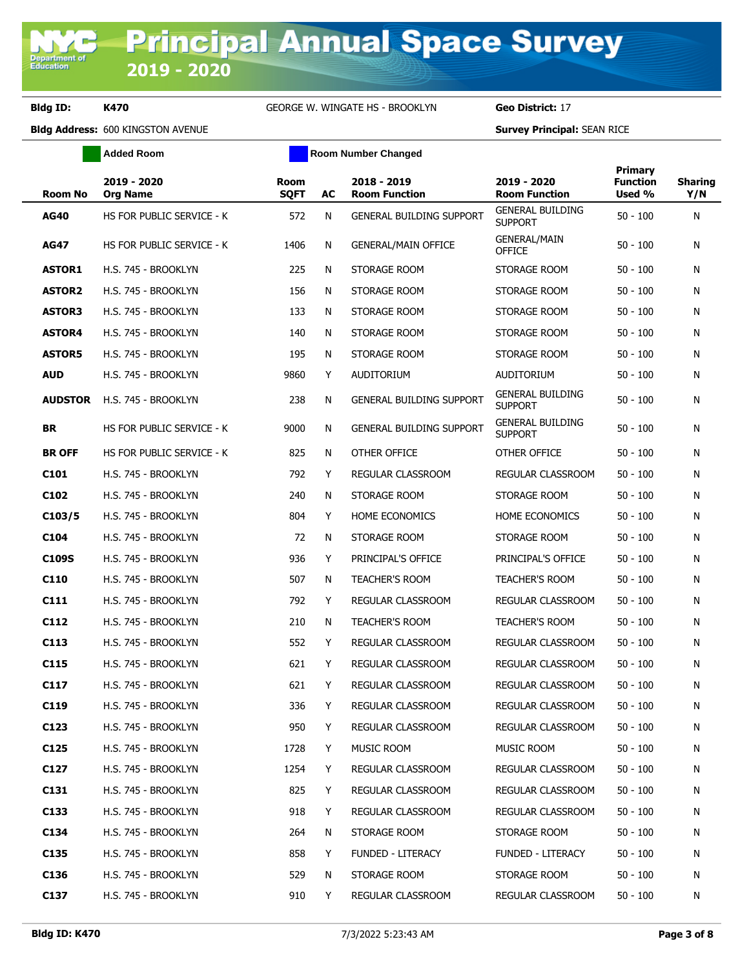**Added Room Room Room Number Changed** 

| <b>Room No</b>   | 2019 - 2020<br><b>Org Name</b> | Room<br><b>SQFT</b> | AC | 2018 - 2019<br><b>Room Function</b> | 2019 - 2020<br><b>Room Function</b>       | Primary<br><b>Function</b><br>Used % | <b>Sharing</b><br>Y/N |
|------------------|--------------------------------|---------------------|----|-------------------------------------|-------------------------------------------|--------------------------------------|-----------------------|
| <b>AG40</b>      | HS FOR PUBLIC SERVICE - K      | 572                 | N  | <b>GENERAL BUILDING SUPPORT</b>     | <b>GENERAL BUILDING</b><br><b>SUPPORT</b> | $50 - 100$                           | N                     |
| <b>AG47</b>      | HS FOR PUBLIC SERVICE - K      | 1406                | N  | <b>GENERAL/MAIN OFFICE</b>          | <b>GENERAL/MAIN</b><br><b>OFFICE</b>      | $50 - 100$                           | N                     |
| <b>ASTOR1</b>    | H.S. 745 - BROOKLYN            | 225                 | N  | STORAGE ROOM                        | STORAGE ROOM                              | $50 - 100$                           | N                     |
| <b>ASTOR2</b>    | H.S. 745 - BROOKLYN            | 156                 | N  | STORAGE ROOM                        | STORAGE ROOM                              | $50 - 100$                           | N                     |
| <b>ASTOR3</b>    | H.S. 745 - BROOKLYN            | 133                 | N  | STORAGE ROOM                        | STORAGE ROOM                              | $50 - 100$                           | N                     |
| <b>ASTOR4</b>    | H.S. 745 - BROOKLYN            | 140                 | N  | STORAGE ROOM                        | STORAGE ROOM                              | $50 - 100$                           | N                     |
| <b>ASTOR5</b>    | H.S. 745 - BROOKLYN            | 195                 | N  | STORAGE ROOM                        | STORAGE ROOM                              | $50 - 100$                           | N                     |
| <b>AUD</b>       | H.S. 745 - BROOKLYN            | 9860                | Y  | AUDITORIUM                          | AUDITORIUM                                | 50 - 100                             | N                     |
| <b>AUDSTOR</b>   | H.S. 745 - BROOKLYN            | 238                 | N  | <b>GENERAL BUILDING SUPPORT</b>     | <b>GENERAL BUILDING</b><br><b>SUPPORT</b> | $50 - 100$                           | N                     |
| <b>BR</b>        | HS FOR PUBLIC SERVICE - K      | 9000                | N  | <b>GENERAL BUILDING SUPPORT</b>     | <b>GENERAL BUILDING</b><br><b>SUPPORT</b> | $50 - 100$                           | N                     |
| <b>BR OFF</b>    | HS FOR PUBLIC SERVICE - K      | 825                 | N  | OTHER OFFICE                        | OTHER OFFICE                              | $50 - 100$                           | N                     |
| C <sub>101</sub> | H.S. 745 - BROOKLYN            | 792                 | Y  | REGULAR CLASSROOM                   | <b>REGULAR CLASSROOM</b>                  | $50 - 100$                           | N                     |
| C <sub>102</sub> | H.S. 745 - BROOKLYN            | 240                 | N  | STORAGE ROOM                        | STORAGE ROOM                              | $50 - 100$                           | N                     |
| C103/5           | H.S. 745 - BROOKLYN            | 804                 | Y  | <b>HOME ECONOMICS</b>               | HOME ECONOMICS                            | $50 - 100$                           | N                     |
| C <sub>104</sub> | H.S. 745 - BROOKLYN            | 72                  | N  | STORAGE ROOM                        | STORAGE ROOM                              | $50 - 100$                           | N                     |
| C109S            | H.S. 745 - BROOKLYN            | 936                 | Y  | PRINCIPAL'S OFFICE                  | PRINCIPAL'S OFFICE                        | $50 - 100$                           | N                     |
| C <sub>110</sub> | H.S. 745 - BROOKLYN            | 507                 | N  | <b>TEACHER'S ROOM</b>               | <b>TEACHER'S ROOM</b>                     | $50 - 100$                           | N                     |
| C111             | H.S. 745 - BROOKLYN            | 792                 | Y  | REGULAR CLASSROOM                   | REGULAR CLASSROOM                         | $50 - 100$                           | N                     |
| C112             | H.S. 745 - BROOKLYN            | 210                 | N  | <b>TEACHER'S ROOM</b>               | <b>TEACHER'S ROOM</b>                     | $50 - 100$                           | N                     |
| C113             | H.S. 745 - BROOKLYN            | 552                 | Y  | REGULAR CLASSROOM                   | <b>REGULAR CLASSROOM</b>                  | $50 - 100$                           | N                     |
| C115             | H.S. 745 - BROOKLYN            | 621                 | Y  | <b>REGULAR CLASSROOM</b>            | <b>REGULAR CLASSROOM</b>                  | $50 - 100$                           | N                     |
| C117             | H.S. 745 - BROOKLYN            | 621                 | Y  | <b>REGULAR CLASSROOM</b>            | REGULAR CLASSROOM                         | $50 - 100$                           | N                     |
| C <sub>119</sub> | H.S. 745 - BROOKLYN            | 336                 | Y  | REGULAR CLASSROOM                   | <b>REGULAR CLASSROOM</b>                  | $50 - 100$                           | N                     |
| C <sub>123</sub> | H.S. 745 - BROOKLYN            | 950                 | Y  | REGULAR CLASSROOM                   | REGULAR CLASSROOM                         | 50 - 100                             | N                     |
| C125             | H.S. 745 - BROOKLYN            | 1728                | Y  | MUSIC ROOM                          | MUSIC ROOM                                | $50 - 100$                           | N                     |
| C127             | H.S. 745 - BROOKLYN            | 1254                | Y  | REGULAR CLASSROOM                   | REGULAR CLASSROOM                         | $50 - 100$                           | N                     |
| C <sub>131</sub> | H.S. 745 - BROOKLYN            | 825                 | Y  | <b>REGULAR CLASSROOM</b>            | REGULAR CLASSROOM                         | $50 - 100$                           | N                     |
| C <sub>133</sub> | H.S. 745 - BROOKLYN            | 918                 | Y  | REGULAR CLASSROOM                   | REGULAR CLASSROOM                         | 50 - 100                             | N                     |
| C134             | H.S. 745 - BROOKLYN            | 264                 | N  | STORAGE ROOM                        | STORAGE ROOM                              | $50 - 100$                           | N                     |
| C <sub>135</sub> | H.S. 745 - BROOKLYN            | 858                 | Y  | <b>FUNDED - LITERACY</b>            | FUNDED - LITERACY                         | 50 - 100                             | N                     |
| C <sub>136</sub> | H.S. 745 - BROOKLYN            | 529                 | N  | STORAGE ROOM                        | STORAGE ROOM                              | $50 - 100$                           | N                     |
| C137             | H.S. 745 - BROOKLYN            | 910                 | Y  | REGULAR CLASSROOM                   | REGULAR CLASSROOM                         | $50 - 100$                           | N                     |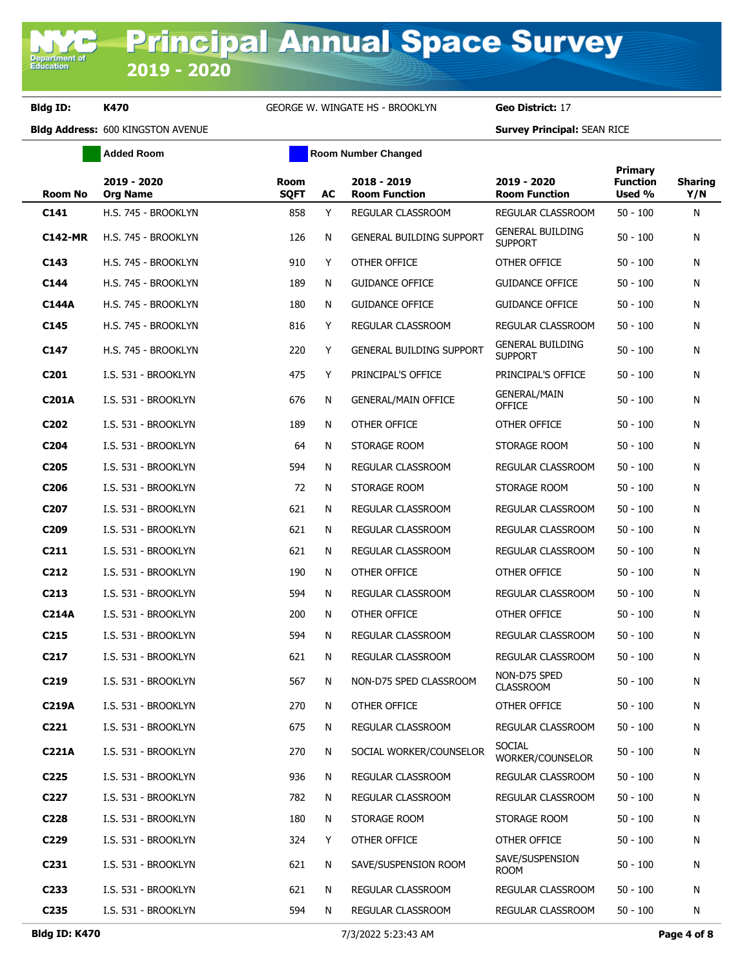**Added Room Room Room Number Changed** 

| <b>Room No</b>    | 2019 - 2020<br><b>Org Name</b> | Room<br><b>SQFT</b> | AC | 2018 - 2019<br><b>Room Function</b> | 2019 - 2020<br><b>Room Function</b>       | Primary<br><b>Function</b><br>Used % | <b>Sharing</b><br>Y/N |
|-------------------|--------------------------------|---------------------|----|-------------------------------------|-------------------------------------------|--------------------------------------|-----------------------|
| C141              | H.S. 745 - BROOKLYN            | 858                 | Y  | REGULAR CLASSROOM                   | REGULAR CLASSROOM                         | $50 - 100$                           | N                     |
| <b>C142-MR</b>    | H.S. 745 - BROOKLYN            | 126                 | N  | <b>GENERAL BUILDING SUPPORT</b>     | <b>GENERAL BUILDING</b><br><b>SUPPORT</b> | $50 - 100$                           | N                     |
| C143              | H.S. 745 - BROOKLYN            | 910                 | Y  | OTHER OFFICE                        | OTHER OFFICE                              | $50 - 100$                           | N                     |
| C144              | H.S. 745 - BROOKLYN            | 189                 | N  | <b>GUIDANCE OFFICE</b>              | <b>GUIDANCE OFFICE</b>                    | $50 - 100$                           | N                     |
| C144A             | H.S. 745 - BROOKLYN            | 180                 | N  | <b>GUIDANCE OFFICE</b>              | <b>GUIDANCE OFFICE</b>                    | $50 - 100$                           | N                     |
| C145              | H.S. 745 - BROOKLYN            | 816                 | Y  | REGULAR CLASSROOM                   | REGULAR CLASSROOM                         | $50 - 100$                           | N                     |
| C147              | H.S. 745 - BROOKLYN            | 220                 | Y  | <b>GENERAL BUILDING SUPPORT</b>     | <b>GENERAL BUILDING</b><br><b>SUPPORT</b> | $50 - 100$                           | N                     |
| C <sub>201</sub>  | I.S. 531 - BROOKLYN            | 475                 | Y  | PRINCIPAL'S OFFICE                  | PRINCIPAL'S OFFICE                        | $50 - 100$                           | N                     |
| <b>C201A</b>      | I.S. 531 - BROOKLYN            | 676                 | N  | <b>GENERAL/MAIN OFFICE</b>          | <b>GENERAL/MAIN</b><br><b>OFFICE</b>      | $50 - 100$                           | N                     |
| C <sub>202</sub>  | I.S. 531 - BROOKLYN            | 189                 | N  | OTHER OFFICE                        | OTHER OFFICE                              | $50 - 100$                           | N                     |
| C204              | I.S. 531 - BROOKLYN            | 64                  | N  | STORAGE ROOM                        | STORAGE ROOM                              | $50 - 100$                           | N                     |
| C <sub>205</sub>  | I.S. 531 - BROOKLYN            | 594                 | N  | REGULAR CLASSROOM                   | REGULAR CLASSROOM                         | $50 - 100$                           | N                     |
| C206              | I.S. 531 - BROOKLYN            | 72                  | N  | STORAGE ROOM                        | STORAGE ROOM                              | $50 - 100$                           | N                     |
| C <sub>207</sub>  | I.S. 531 - BROOKLYN            | 621                 | N  | REGULAR CLASSROOM                   | REGULAR CLASSROOM                         | $50 - 100$                           | N                     |
| C209              | I.S. 531 - BROOKLYN            | 621                 | N  | REGULAR CLASSROOM                   | REGULAR CLASSROOM                         | $50 - 100$                           | N                     |
| C <sub>211</sub>  | I.S. 531 - BROOKLYN            | 621                 | N  | REGULAR CLASSROOM                   | REGULAR CLASSROOM                         | $50 - 100$                           | N                     |
| C212              | I.S. 531 - BROOKLYN            | 190                 | N  | OTHER OFFICE                        | OTHER OFFICE                              | $50 - 100$                           | N                     |
| C <sub>213</sub>  | I.S. 531 - BROOKLYN            | 594                 | N  | REGULAR CLASSROOM                   | REGULAR CLASSROOM                         | $50 - 100$                           | N                     |
| <b>C214A</b>      | I.S. 531 - BROOKLYN            | 200                 | N  | OTHER OFFICE                        | OTHER OFFICE                              | $50 - 100$                           | N                     |
| C <sub>2</sub> 15 | I.S. 531 - BROOKLYN            | 594                 | N  | <b>REGULAR CLASSROOM</b>            | REGULAR CLASSROOM                         | $50 - 100$                           | N                     |
| C <sub>217</sub>  | I.S. 531 - BROOKLYN            | 621                 | N  | REGULAR CLASSROOM                   | REGULAR CLASSROOM                         | $50 - 100$                           | N                     |
| C219              | I.S. 531 - BROOKLYN            | 567                 | N  | NON-D75 SPED CLASSROOM              | NON-D75 SPED<br><b>CLASSROOM</b>          | $50 - 100$                           | N                     |
| <b>C219A</b>      | I.S. 531 - BROOKLYN            | 270                 | N  | OTHER OFFICE                        | OTHER OFFICE                              | $50 - 100$                           | N                     |
| C <sub>221</sub>  | I.S. 531 - BROOKLYN            | 675                 | N  | REGULAR CLASSROOM                   | REGULAR CLASSROOM                         | $50 - 100$                           | N                     |
| <b>C221A</b>      | I.S. 531 - BROOKLYN            | 270                 | N  | SOCIAL WORKER/COUNSELOR             | <b>SOCIAL</b><br>WORKER/COUNSELOR         | $50 - 100$                           | N                     |
| C <sub>225</sub>  | I.S. 531 - BROOKLYN            | 936                 | N  | REGULAR CLASSROOM                   | REGULAR CLASSROOM                         | $50 - 100$                           | N                     |
| C <sub>227</sub>  | I.S. 531 - BROOKLYN            | 782                 | N  | REGULAR CLASSROOM                   | REGULAR CLASSROOM                         | $50 - 100$                           | N                     |
| C228              | I.S. 531 - BROOKLYN            | 180                 | N  | STORAGE ROOM                        | STORAGE ROOM                              | $50 - 100$                           | N                     |
| C229              | I.S. 531 - BROOKLYN            | 324                 | Y  | OTHER OFFICE                        | OTHER OFFICE                              | $50 - 100$                           | N                     |
| C <sub>231</sub>  | I.S. 531 - BROOKLYN            | 621                 | N  | SAVE/SUSPENSION ROOM                | SAVE/SUSPENSION<br><b>ROOM</b>            | $50 - 100$                           | N                     |
| C <sub>233</sub>  | I.S. 531 - BROOKLYN            | 621                 | N  | REGULAR CLASSROOM                   | REGULAR CLASSROOM                         | $50 - 100$                           | N                     |
| C <sub>235</sub>  | I.S. 531 - BROOKLYN            | 594                 | N  | REGULAR CLASSROOM                   | REGULAR CLASSROOM                         | $50 - 100$                           | N                     |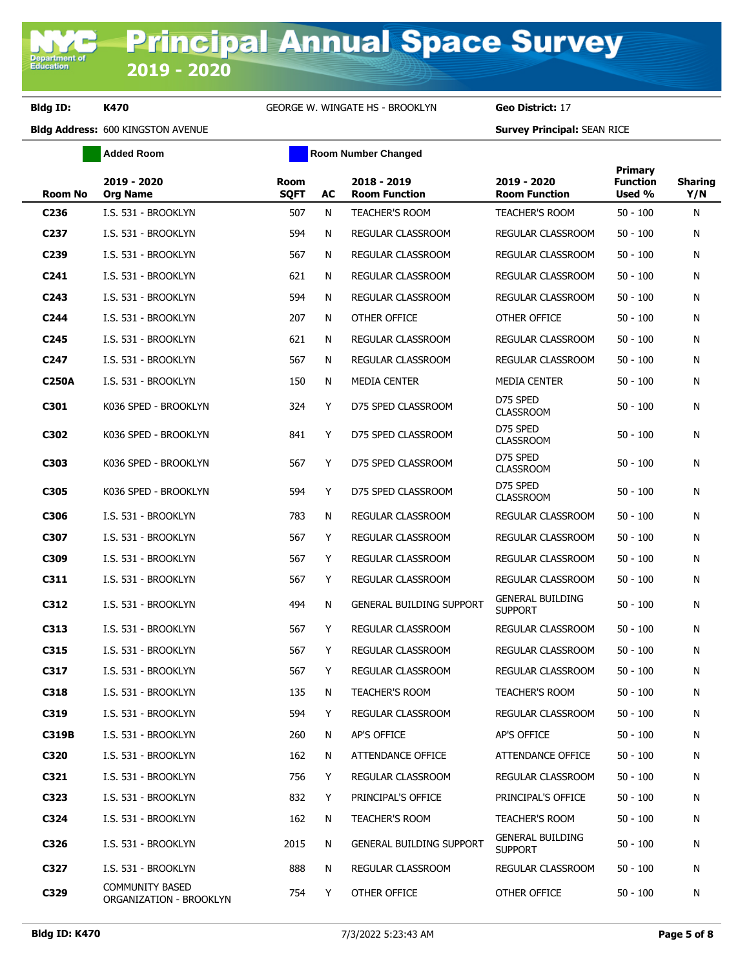**Added Room Room Room Number Changed** 

| <b>Room No</b>   | 2019 - 2020<br><b>Org Name</b>                    | <b>Room</b><br><b>SQFT</b> | AC | 2018 - 2019<br><b>Room Function</b> | 2019 - 2020<br><b>Room Function</b>       | <b>Primary</b><br><b>Function</b><br>Used % | <b>Sharing</b><br>Y/N |
|------------------|---------------------------------------------------|----------------------------|----|-------------------------------------|-------------------------------------------|---------------------------------------------|-----------------------|
| C <sub>236</sub> | I.S. 531 - BROOKLYN                               | 507                        | N  | <b>TEACHER'S ROOM</b>               | <b>TEACHER'S ROOM</b>                     | $50 - 100$                                  | N                     |
| C <sub>237</sub> | I.S. 531 - BROOKLYN                               | 594                        | N  | REGULAR CLASSROOM                   | REGULAR CLASSROOM                         | $50 - 100$                                  | N                     |
| C239             | I.S. 531 - BROOKLYN                               | 567                        | N  | REGULAR CLASSROOM                   | REGULAR CLASSROOM                         | $50 - 100$                                  | Ν                     |
| C241             | I.S. 531 - BROOKLYN                               | 621                        | N  | REGULAR CLASSROOM                   | REGULAR CLASSROOM                         | $50 - 100$                                  | Ν                     |
| C <sub>243</sub> | I.S. 531 - BROOKLYN                               | 594                        | N  | <b>REGULAR CLASSROOM</b>            | REGULAR CLASSROOM                         | $50 - 100$                                  | N                     |
| C <sub>244</sub> | I.S. 531 - BROOKLYN                               | 207                        | N  | OTHER OFFICE                        | OTHER OFFICE                              | $50 - 100$                                  | N                     |
| C <sub>245</sub> | I.S. 531 - BROOKLYN                               | 621                        | N  | REGULAR CLASSROOM                   | <b>REGULAR CLASSROOM</b>                  | $50 - 100$                                  | N                     |
| C <sub>247</sub> | I.S. 531 - BROOKLYN                               | 567                        | N  | REGULAR CLASSROOM                   | REGULAR CLASSROOM                         | $50 - 100$                                  | N                     |
| <b>C250A</b>     | I.S. 531 - BROOKLYN                               | 150                        | N  | MEDIA CENTER                        | MEDIA CENTER                              | $50 - 100$                                  | N                     |
| C301             | K036 SPED - BROOKLYN                              | 324                        | Y  | D75 SPED CLASSROOM                  | D75 SPED<br><b>CLASSROOM</b>              | $50 - 100$                                  | N                     |
| C302             | K036 SPED - BROOKLYN                              | 841                        | Y  | D75 SPED CLASSROOM                  | D75 SPED<br><b>CLASSROOM</b>              | $50 - 100$                                  | N                     |
| C303             | K036 SPED - BROOKLYN                              | 567                        | Y. | D75 SPED CLASSROOM                  | D75 SPED<br><b>CLASSROOM</b>              | $50 - 100$                                  | N                     |
| C305             | K036 SPED - BROOKLYN                              | 594                        | Y  | D75 SPED CLASSROOM                  | D75 SPED<br><b>CLASSROOM</b>              | $50 - 100$                                  | N                     |
| C306             | I.S. 531 - BROOKLYN                               | 783                        | N  | REGULAR CLASSROOM                   | REGULAR CLASSROOM                         | $50 - 100$                                  | N                     |
| C307             | I.S. 531 - BROOKLYN                               | 567                        | Y  | REGULAR CLASSROOM                   | REGULAR CLASSROOM                         | $50 - 100$                                  | N                     |
| C309             | I.S. 531 - BROOKLYN                               | 567                        | Y  | REGULAR CLASSROOM                   | REGULAR CLASSROOM                         | $50 - 100$                                  | N                     |
| C311             | I.S. 531 - BROOKLYN                               | 567                        | Y  | REGULAR CLASSROOM                   | REGULAR CLASSROOM                         | $50 - 100$                                  | Ν                     |
| C312             | I.S. 531 - BROOKLYN                               | 494                        | N  | <b>GENERAL BUILDING SUPPORT</b>     | <b>GENERAL BUILDING</b><br><b>SUPPORT</b> | $50 - 100$                                  | N                     |
| C313             | I.S. 531 - BROOKLYN                               | 567                        | Y  | REGULAR CLASSROOM                   | REGULAR CLASSROOM                         | $50 - 100$                                  | N                     |
| C315             | I.S. 531 - BROOKLYN                               | 567                        | Y  | REGULAR CLASSROOM                   | REGULAR CLASSROOM                         | $50 - 100$                                  | N                     |
| C317             | I.S. 531 - BROOKLYN                               | 567                        | Y  | REGULAR CLASSROOM                   | REGULAR CLASSROOM                         | $50 - 100$                                  | N                     |
| C318             | I.S. 531 - BROOKLYN                               | 135                        | N  | <b>TEACHER'S ROOM</b>               | <b>TEACHER'S ROOM</b>                     | $50 - 100$                                  | N                     |
| C319             | I.S. 531 - BROOKLYN                               | 594                        | Y  | REGULAR CLASSROOM                   | REGULAR CLASSROOM                         | 50 - 100                                    | N                     |
| <b>C319B</b>     | I.S. 531 - BROOKLYN                               | 260                        | N  | AP'S OFFICE                         | AP'S OFFICE                               | $50 - 100$                                  | N                     |
| C320             | I.S. 531 - BROOKLYN                               | 162                        | N  | ATTENDANCE OFFICE                   | ATTENDANCE OFFICE                         | $50 - 100$                                  | N                     |
| C321             | I.S. 531 - BROOKLYN                               | 756                        | Y  | REGULAR CLASSROOM                   | REGULAR CLASSROOM                         | $50 - 100$                                  | N                     |
| C323             | I.S. 531 - BROOKLYN                               | 832                        | Y  | PRINCIPAL'S OFFICE                  | PRINCIPAL'S OFFICE                        | $50 - 100$                                  | N                     |
| C324             | I.S. 531 - BROOKLYN                               | 162                        | N  | <b>TEACHER'S ROOM</b>               | <b>TEACHER'S ROOM</b>                     | $50 - 100$                                  | Ν                     |
| C326             | I.S. 531 - BROOKLYN                               | 2015                       | N  | <b>GENERAL BUILDING SUPPORT</b>     | <b>GENERAL BUILDING</b><br><b>SUPPORT</b> | 50 - 100                                    | N                     |
| C327             | I.S. 531 - BROOKLYN                               | 888                        | N  | REGULAR CLASSROOM                   | REGULAR CLASSROOM                         | 50 - 100                                    | N                     |
| C329             | <b>COMMUNITY BASED</b><br>ORGANIZATION - BROOKLYN | 754                        | Y  | OTHER OFFICE                        | OTHER OFFICE                              | $50 - 100$                                  | N                     |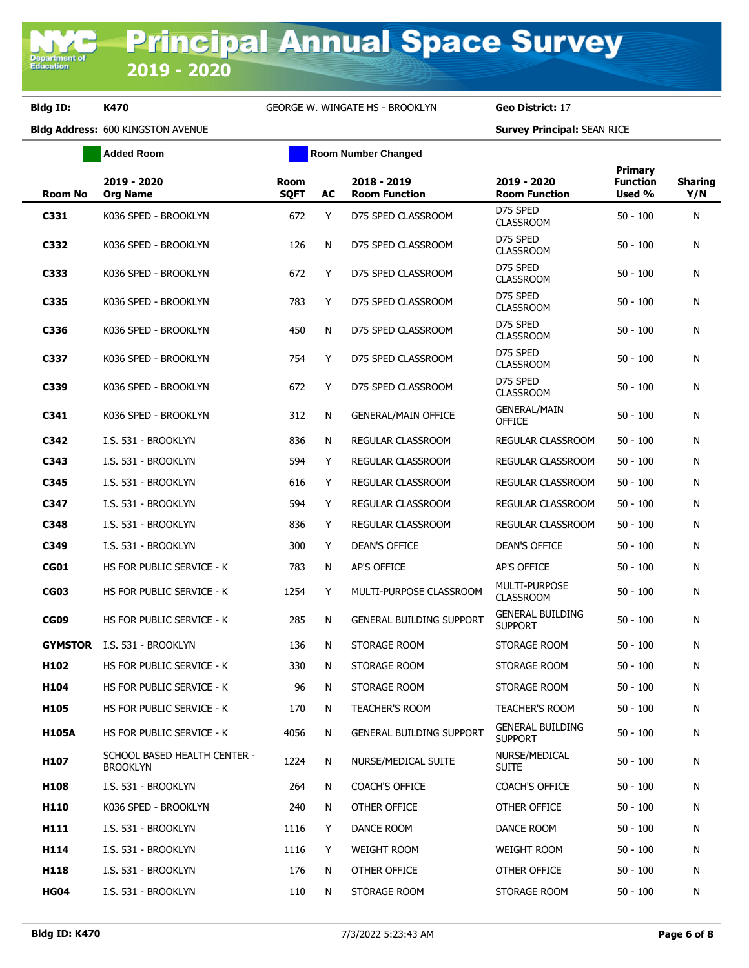**Added Room Room Room Number Changed** 

| <b>Room No</b>   | 2019 - 2020<br><b>Org Name</b>                  | <b>Room</b><br><b>SQFT</b> | AC | 2018 - 2019<br><b>Room Function</b> | 2019 - 2020<br><b>Room Function</b>       | <b>Primary</b><br><b>Function</b><br>Used % | <b>Sharing</b><br>Y/N |
|------------------|-------------------------------------------------|----------------------------|----|-------------------------------------|-------------------------------------------|---------------------------------------------|-----------------------|
| C331             | K036 SPED - BROOKLYN                            | 672                        | Y  | D75 SPED CLASSROOM                  | D75 SPED<br><b>CLASSROOM</b>              | $50 - 100$                                  | N                     |
| C332             | K036 SPED - BROOKLYN                            | 126                        | N  | D75 SPED CLASSROOM                  | D75 SPED<br><b>CLASSROOM</b>              | $50 - 100$                                  | N                     |
| C333             | K036 SPED - BROOKLYN                            | 672                        | Y  | D75 SPED CLASSROOM                  | D75 SPED<br><b>CLASSROOM</b>              | $50 - 100$                                  | N                     |
| C335             | K036 SPED - BROOKLYN                            | 783                        | Y  | D75 SPED CLASSROOM                  | D75 SPED<br><b>CLASSROOM</b>              | $50 - 100$                                  | Ν                     |
| C336             | K036 SPED - BROOKLYN                            | 450                        | N  | D75 SPED CLASSROOM                  | D75 SPED<br><b>CLASSROOM</b>              | $50 - 100$                                  | Ν                     |
| C337             | K036 SPED - BROOKLYN                            | 754                        | Y  | D75 SPED CLASSROOM                  | D75 SPED<br><b>CLASSROOM</b>              | $50 - 100$                                  | Ν                     |
| C339             | K036 SPED - BROOKLYN                            | 672                        | Y  | D75 SPED CLASSROOM                  | D75 SPED<br><b>CLASSROOM</b>              | $50 - 100$                                  | N                     |
| C341             | K036 SPED - BROOKLYN                            | 312                        | N  | <b>GENERAL/MAIN OFFICE</b>          | <b>GENERAL/MAIN</b><br><b>OFFICE</b>      | $50 - 100$                                  | Ν                     |
| C342             | I.S. 531 - BROOKLYN                             | 836                        | N  | REGULAR CLASSROOM                   | REGULAR CLASSROOM                         | $50 - 100$                                  | Ν                     |
| C343             | I.S. 531 - BROOKLYN                             | 594                        | Y  | REGULAR CLASSROOM                   | <b>REGULAR CLASSROOM</b>                  | $50 - 100$                                  | Ν                     |
| C345             | I.S. 531 - BROOKLYN                             | 616                        | Y  | REGULAR CLASSROOM                   | REGULAR CLASSROOM                         | $50 - 100$                                  | Ν                     |
| C347             | I.S. 531 - BROOKLYN                             | 594                        | Y  | <b>REGULAR CLASSROOM</b>            | REGULAR CLASSROOM                         | $50 - 100$                                  | N                     |
| C348             | I.S. 531 - BROOKLYN                             | 836                        | Y  | REGULAR CLASSROOM                   | REGULAR CLASSROOM                         | $50 - 100$                                  | Ν                     |
| C349             | I.S. 531 - BROOKLYN                             | 300                        | Y  | <b>DEAN'S OFFICE</b>                | DEAN'S OFFICE                             | $50 - 100$                                  | Ν                     |
| <b>CG01</b>      | HS FOR PUBLIC SERVICE - K                       | 783                        | N  | <b>AP'S OFFICE</b>                  | AP'S OFFICE                               | $50 - 100$                                  | N                     |
| <b>CG03</b>      | HS FOR PUBLIC SERVICE - K                       | 1254                       | Y  | MULTI-PURPOSE CLASSROOM             | <b>MULTI-PURPOSE</b><br><b>CLASSROOM</b>  | $50 - 100$                                  | Ν                     |
| <b>CG09</b>      | HS FOR PUBLIC SERVICE - K                       | 285                        | N  | <b>GENERAL BUILDING SUPPORT</b>     | <b>GENERAL BUILDING</b><br><b>SUPPORT</b> | $50 - 100$                                  | Ν                     |
| <b>GYMSTOR</b>   | I.S. 531 - BROOKLYN                             | 136                        | N  | STORAGE ROOM                        | STORAGE ROOM                              | $50 - 100$                                  | Ν                     |
| H <sub>102</sub> | HS FOR PUBLIC SERVICE - K                       | 330                        | N  | STORAGE ROOM                        | STORAGE ROOM                              | $50 - 100$                                  | N                     |
| H104             | HS FOR PUBLIC SERVICE - K                       | 96                         | N  | STORAGE ROOM                        | STORAGE ROOM                              | $50 - 100$                                  | Ν                     |
| H105             | HS FOR PUBLIC SERVICE - K                       | 170                        | N. | <b>TEACHER'S ROOM</b>               | <b>TEACHER'S ROOM</b>                     | $50 - 100$                                  | Ν                     |
| <b>H105A</b>     | HS FOR PUBLIC SERVICE - K                       | 4056                       | N  | <b>GENERAL BUILDING SUPPORT</b>     | <b>GENERAL BUILDING</b><br><b>SUPPORT</b> | $50 - 100$                                  | Ν                     |
| H107             | SCHOOL BASED HEALTH CENTER -<br><b>BROOKLYN</b> | 1224                       | N  | NURSE/MEDICAL SUITE                 | NURSE/MEDICAL<br><b>SUITE</b>             | $50 - 100$                                  | Ν                     |
| H108             | I.S. 531 - BROOKLYN                             | 264                        | N  | <b>COACH'S OFFICE</b>               | <b>COACH'S OFFICE</b>                     | $50 - 100$                                  | Ν                     |
| H110             | K036 SPED - BROOKLYN                            | 240                        | N  | OTHER OFFICE                        | OTHER OFFICE                              | $50 - 100$                                  | Ν                     |
| H111             | I.S. 531 - BROOKLYN                             | 1116                       | Y  | DANCE ROOM                          | DANCE ROOM                                | $50 - 100$                                  | N                     |
| H114             | I.S. 531 - BROOKLYN                             | 1116                       | Y  | <b>WEIGHT ROOM</b>                  | WEIGHT ROOM                               | $50 - 100$                                  | N                     |
| H118             | I.S. 531 - BROOKLYN                             | 176                        | N  | OTHER OFFICE                        | OTHER OFFICE                              | $50 - 100$                                  | Ν                     |
| <b>HG04</b>      | I.S. 531 - BROOKLYN                             | 110                        | N  | STORAGE ROOM                        | STORAGE ROOM                              | $50 - 100$                                  | N                     |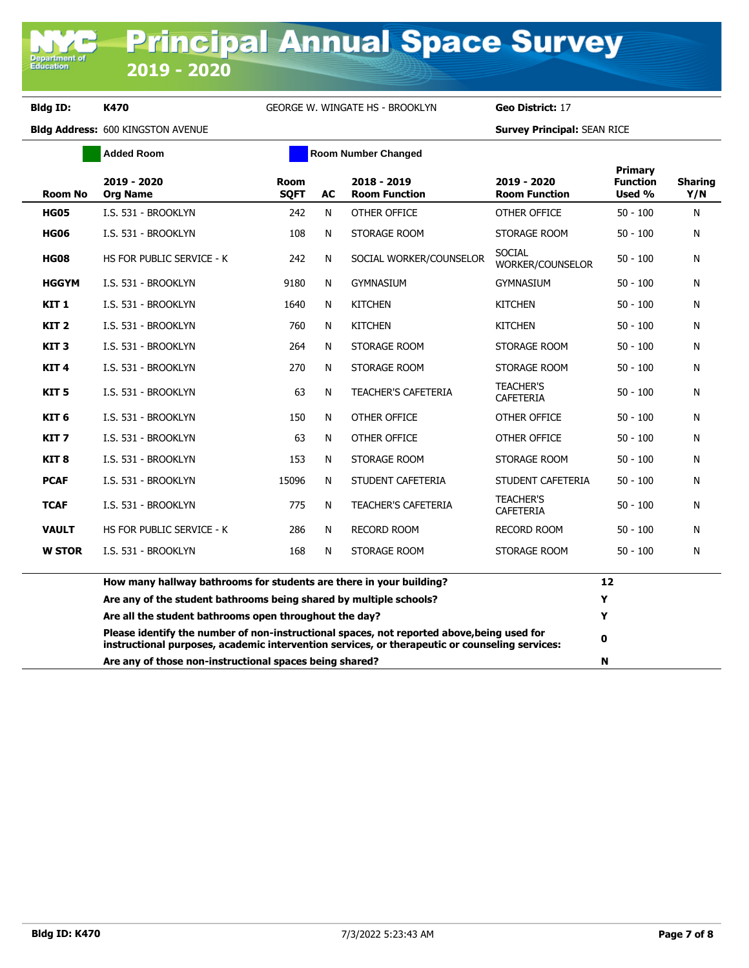Department of<br>Education

## **Bldg ID: K470** GEORGE W. WINGATE HS - BROOKLYN **Geo District:** 17

|                  | <b>Added Room</b>                                                                                                                                                                            | <b>Room Number Changed</b> |           |                                     |                                      |                                      |                       |
|------------------|----------------------------------------------------------------------------------------------------------------------------------------------------------------------------------------------|----------------------------|-----------|-------------------------------------|--------------------------------------|--------------------------------------|-----------------------|
| <b>Room No</b>   | 2019 - 2020<br><b>Org Name</b>                                                                                                                                                               | <b>Room</b><br><b>SQFT</b> | <b>AC</b> | 2018 - 2019<br><b>Room Function</b> | 2019 - 2020<br><b>Room Function</b>  | Primary<br><b>Function</b><br>Used % | <b>Sharing</b><br>Y/N |
| <b>HG05</b>      | I.S. 531 - BROOKLYN                                                                                                                                                                          | 242                        | N         | OTHER OFFICE                        | OTHER OFFICE                         | $50 - 100$                           | Ν                     |
| <b>HG06</b>      | I.S. 531 - BROOKLYN                                                                                                                                                                          | 108                        | N         | STORAGE ROOM                        | STORAGE ROOM                         | $50 - 100$                           | N                     |
| <b>HG08</b>      | HS FOR PUBLIC SERVICE - K                                                                                                                                                                    | 242                        | N         | SOCIAL WORKER/COUNSELOR             | SOCIAL<br>WORKER/COUNSELOR           | $50 - 100$                           | Ν                     |
| <b>HGGYM</b>     | I.S. 531 - BROOKLYN                                                                                                                                                                          | 9180                       | N         | <b>GYMNASIUM</b>                    | <b>GYMNASIUM</b>                     | $50 - 100$                           | N                     |
| KIT <sub>1</sub> | I.S. 531 - BROOKLYN                                                                                                                                                                          | 1640                       | N         | <b>KITCHEN</b>                      | <b>KITCHEN</b>                       | $50 - 100$                           | N                     |
| KIT <sub>2</sub> | I.S. 531 - BROOKLYN                                                                                                                                                                          | 760                        | N         | <b>KITCHEN</b>                      | <b>KITCHEN</b>                       | $50 - 100$                           | Ν                     |
| KIT <sub>3</sub> | I.S. 531 - BROOKLYN                                                                                                                                                                          | 264                        | N         | STORAGE ROOM                        | STORAGE ROOM                         | $50 - 100$                           | N                     |
| KIT <sub>4</sub> | I.S. 531 - BROOKLYN                                                                                                                                                                          | 270                        | N         | STORAGE ROOM                        | STORAGE ROOM                         | $50 - 100$                           | Ν                     |
| KIT <sub>5</sub> | I.S. 531 - BROOKLYN                                                                                                                                                                          | 63                         | N         | <b>TEACHER'S CAFETERIA</b>          | <b>TEACHER'S</b><br><b>CAFETERIA</b> | $50 - 100$                           | Ν                     |
| KIT <sub>6</sub> | I.S. 531 - BROOKLYN                                                                                                                                                                          | 150                        | N         | OTHER OFFICE                        | OTHER OFFICE                         | $50 - 100$                           | N                     |
| KIT <sub>7</sub> | I.S. 531 - BROOKLYN                                                                                                                                                                          | 63                         | N         | OTHER OFFICE                        | OTHER OFFICE                         | $50 - 100$                           | Ν                     |
| KIT <sub>8</sub> | I.S. 531 - BROOKLYN                                                                                                                                                                          | 153                        | N         | STORAGE ROOM                        | STORAGE ROOM                         | $50 - 100$                           | N                     |
| <b>PCAF</b>      | I.S. 531 - BROOKLYN                                                                                                                                                                          | 15096                      | N         | STUDENT CAFETERIA                   | STUDENT CAFETERIA                    | $50 - 100$                           | N                     |
| <b>TCAF</b>      | I.S. 531 - BROOKLYN                                                                                                                                                                          | 775                        | N         | <b>TEACHER'S CAFETERIA</b>          | <b>TEACHER'S</b><br><b>CAFETERIA</b> | $50 - 100$                           | N                     |
| <b>VAULT</b>     | HS FOR PUBLIC SERVICE - K                                                                                                                                                                    | 286                        | N         | <b>RECORD ROOM</b>                  | <b>RECORD ROOM</b>                   | $50 - 100$                           | Ν                     |
| <b>W STOR</b>    | I.S. 531 - BROOKLYN                                                                                                                                                                          | 168                        | N         | STORAGE ROOM                        | STORAGE ROOM                         | $50 - 100$                           | N                     |
|                  | How many hallway bathrooms for students are there in your building?                                                                                                                          |                            |           |                                     |                                      | 12                                   |                       |
|                  | Are any of the student bathrooms being shared by multiple schools?                                                                                                                           |                            |           |                                     |                                      | Y                                    |                       |
|                  | Are all the student bathrooms open throughout the day?                                                                                                                                       |                            |           |                                     |                                      | Y                                    |                       |
|                  | Please identify the number of non-instructional spaces, not reported above, being used for<br>instructional purposes, academic intervention services, or therapeutic or counseling services: |                            |           |                                     |                                      | 0                                    |                       |
|                  | Are any of those non-instructional spaces being shared?                                                                                                                                      |                            |           |                                     |                                      | N                                    |                       |